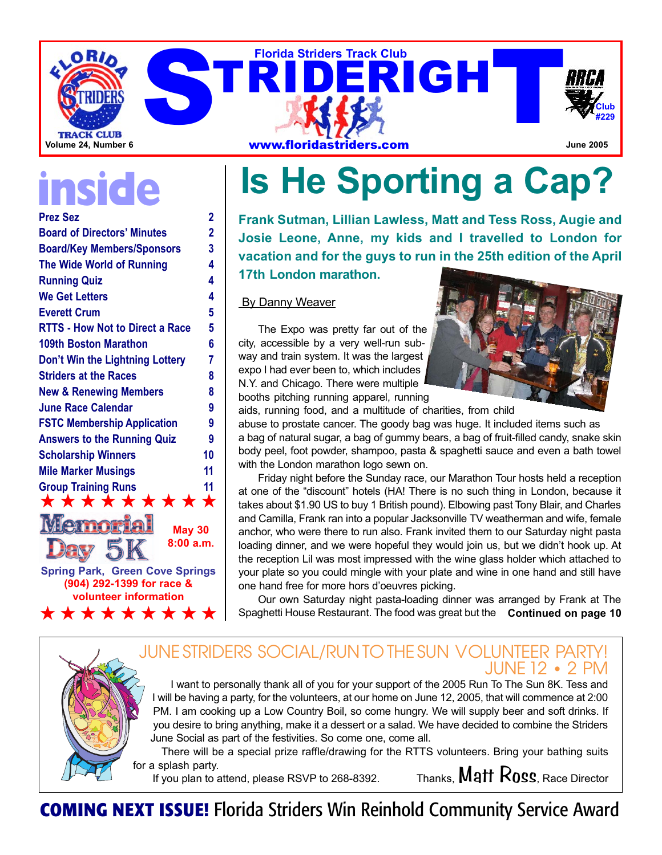

# **inside**

| <b>Prez Sez</b>                        | 2              |
|----------------------------------------|----------------|
| <b>Board of Directors' Minutes</b>     | $\overline{2}$ |
| <b>Board/Key Members/Sponsors</b>      | 3              |
| <b>The Wide World of Running</b>       | 4              |
| <b>Running Quiz</b>                    | 4              |
| <b>We Get Letters</b>                  | 4              |
| <b>Everett Crum</b>                    | 5              |
| <b>RTTS - How Not to Direct a Race</b> | 5              |
| <b>109th Boston Marathon</b>           | 6              |
| Don't Win the Lightning Lottery        | 7              |
| <b>Striders at the Races</b>           | 8              |
| <b>New &amp; Renewing Members</b>      | 8              |
| <b>June Race Calendar</b>              | 9              |
| <b>FSTC Membership Application</b>     | 9              |
| <b>Answers to the Running Quiz</b>     | 9              |
| <b>Scholarship Winners</b>             | 10             |
| <b>Mile Marker Musings</b>             | 11             |
| <b>Group Training Runs</b>             | 11             |
| *********                              |                |
| <b>THAT come come</b><br>Я             |                |

**Spring Park, Green Cove Springs (904) 292-1399 for race & volunteer information 8:00 a.m.**

★★★★★★★★★

**May 30**

**Is He Sporting a Cap?** 

**Frank Sutman, Lillian Lawless, Matt and Tess Ross, Augie and Josie Leone, Anne, my kids and I travelled to London for vacation and for the guys to run in the 25th edition of the April**

**17th London marathon.**

#### **By Danny Weaver**

The Expo was pretty far out of the city, accessible by a very well-run subway and train system. It was the largest expo I had ever been to, which includes N.Y. and Chicago. There were multiple booths pitching running apparel, running



aids, running food, and a multitude of charities, from child abuse to prostate cancer. The goody bag was huge. It included items such as a bag of natural sugar, a bag of gummy bears, a bag of fruit-filled candy, snake skin body peel, foot powder, shampoo, pasta & spaghetti sauce and even a bath towel with the London marathon logo sewn on.

Friday night before the Sunday race, our Marathon Tour hosts held a reception at one of the "discount" hotels (HA! There is no such thing in London, because it takes about \$1.90 US to buy 1 British pound). Elbowing past Tony Blair, and Charles and Camilla, Frank ran into a popular Jacksonville TV weatherman and wife, female anchor, who were there to run also. Frank invited them to our Saturday night pasta loading dinner, and we were hopeful they would join us, but we didn't hook up. At the reception Lil was most impressed with the wine glass holder which attached to your plate so you could mingle with your plate and wine in one hand and still have one hand free for more hors d'oeuvres picking.

Our own Saturday night pasta-loading dinner was arranged by Frank at The Spaghetti House Restaurant. The food was great but the **Continued on page 10**

### JUNESTRIDERS SOCIAL/RUNTOTHESUN VOLUNTEER PARTY! JUNE 12 • 2 PM

I want to personally thank all of you for your support of the 2005 Run To The Sun 8K. Tess and I will be having a party, for the volunteers, at our home on June 12, 2005, that will commence at 2:00 PM. I am cooking up a Low Country Boil, so come hungry. We will supply beer and soft drinks. If you desire to bring anything, make it a dessert or a salad. We have decided to combine the Striders June Social as part of the festivities. So come one, come all.

There will be a special prize raffle/drawing for the RTTS volunteers. Bring your bathing suits for a splash party. If you plan to attend, please RSVP to 268-8392. Thanks,  $\mathsf{Matt}\ \mathsf{Ross}$ , Race Director

**COMING NEXT ISSUE!** Florida Striders Win Reinhold Community Service Award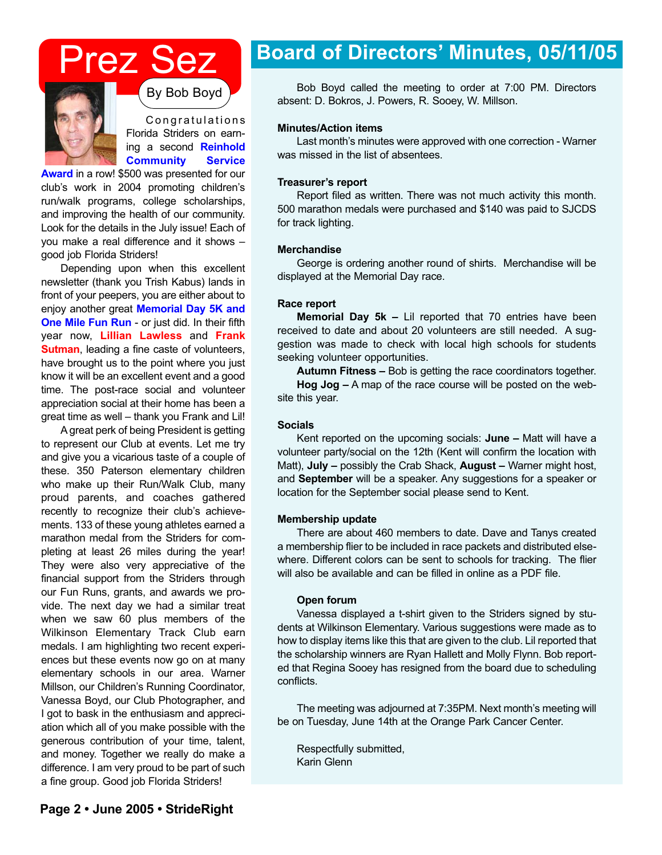## Prez Sez



C ongratulations Florida Striders on earning a second **Reinhold Community Service**

**Award** in a row! \$500 was presented for our club's work in 2004 promoting children's run/walk programs, college scholarships, and improving the health of our community. Look for the details in the July issue! Each of you make a real difference and it shows – good job Florida Striders!

Depending upon when this excellent newsletter (thank you Trish Kabus) lands in front of your peepers, you are either about to enjoy another great **Memorial Day 5K and One Mile Fun Run** - or just did. In their fifth year now, **Lillian Lawless** and **Frank Sutman**, leading a fine caste of volunteers, have brought us to the point where you just know it will be an excellent event and a good time. The post-race social and volunteer appreciation social at their home has been a great time as well – thank you Frank and Lil!

A great perk of being President is getting to represent our Club at events. Let me try and give you a vicarious taste of a couple of these. 350 Paterson elementary children who make up their Run/Walk Club, many proud parents, and coaches gathered recently to recognize their club's achievements. 133 of these young athletes earned a marathon medal from the Striders for completing at least 26 miles during the year! They were also very appreciative of the financial support from the Striders through our Fun Runs, grants, and awards we provide. The next day we had a similar treat when we saw 60 plus members of the Wilkinson Elementary Track Club earn medals. I am highlighting two recent experiences but these events now go on at many elementary schools in our area. Warner Millson, our Children's Running Coordinator, Vanessa Boyd, our Club Photographer, and I got to bask in the enthusiasm and appreciation which all of you make possible with the generous contribution of your time, talent, and money. Together we really do make a difference. I am very proud to be part of such a fine group. Good job Florida Striders!

### **Board of Directors' Minutes, 05/11/05**

By Bob Boyd Bob Boyd called the meeting to order at 7:00 PM. Directors absent: D. Bokros, J. Powers, R. Sooey, W. Millson.

#### **Minutes/Action items**

Last month's minutes were approved with one correction - Warner was missed in the list of absentees.

#### **Treasurer's report**

Report filed as written. There was not much activity this month. 500 marathon medals were purchased and \$140 was paid to SJCDS for track lighting.

#### **Merchandise**

George is ordering another round of shirts. Merchandise will be displayed at the Memorial Day race.

#### **Race report**

**Memorial Day 5k –** Lil reported that 70 entries have been received to date and about 20 volunteers are still needed. A suggestion was made to check with local high schools for students seeking volunteer opportunities.

**Autumn Fitness –** Bob is getting the race coordinators together. **Hog Jog –** A map of the race course will be posted on the website this year.

#### **Socials**

Kent reported on the upcoming socials: **June –** Matt will have a volunteer party/social on the 12th (Kent will confirm the location with Matt), **July –** possibly the Crab Shack, **August –** Warner might host, and **September** will be a speaker. Any suggestions for a speaker or location for the September social please send to Kent.

#### **Membership update**

There are about 460 members to date. Dave and Tanys created a membership flier to be included in race packets and distributed elsewhere. Different colors can be sent to schools for tracking. The flier will also be available and can be filled in online as a PDF file.

#### **Open forum**

Vanessa displayed a t-shirt given to the Striders signed by students at Wilkinson Elementary. Various suggestions were made as to how to display items like this that are given to the club. Lil reported that the scholarship winners are Ryan Hallett and Molly Flynn. Bob reported that Regina Sooey has resigned from the board due to scheduling conflicts.

The meeting was adjourned at 7:35PM. Next month's meeting will be on Tuesday, June 14th at the Orange Park Cancer Center.

Respectfully submitted, Karin Glenn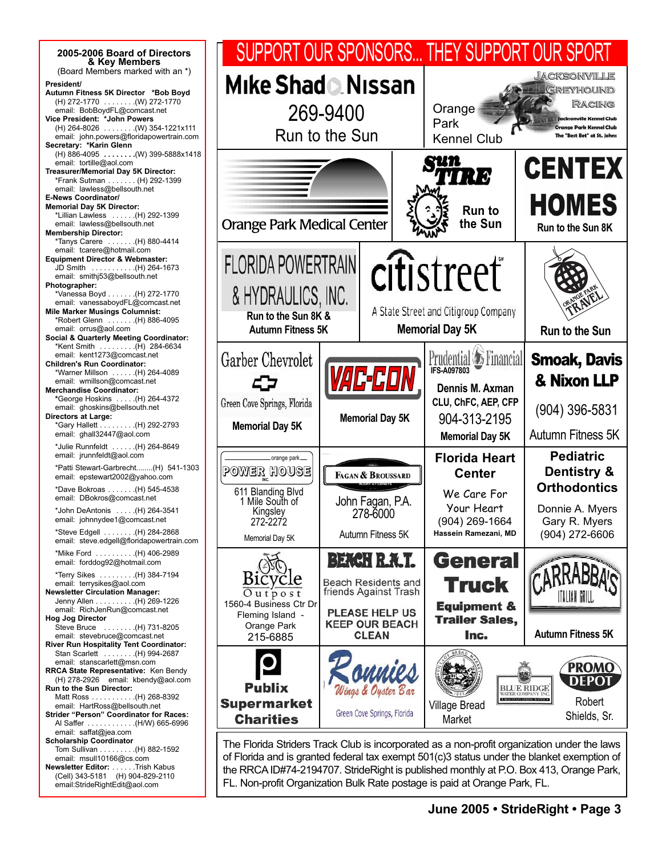| 2005-2006 Board of Directors<br>& Key Members                                                                                                                                                                                                                                                                                                                               | SUPPORT OUR SPONSORS THEY SUPPORT OUR SPORT                                                                                                                                                                                                                                         |                                                                                                                                              |                                      |                                                                                                                                                |                                                                                                                                                       |                                                                                                              |  |
|-----------------------------------------------------------------------------------------------------------------------------------------------------------------------------------------------------------------------------------------------------------------------------------------------------------------------------------------------------------------------------|-------------------------------------------------------------------------------------------------------------------------------------------------------------------------------------------------------------------------------------------------------------------------------------|----------------------------------------------------------------------------------------------------------------------------------------------|--------------------------------------|------------------------------------------------------------------------------------------------------------------------------------------------|-------------------------------------------------------------------------------------------------------------------------------------------------------|--------------------------------------------------------------------------------------------------------------|--|
| (Board Members marked with an *)<br>President/<br>Autumn Fitness 5K Director *Bob Boyd<br>(H) 272-1770  (W) 272-1770<br>email: BobBoydFL@comcast.net<br>Vice President: *John Powers<br>$(H)$ 264-8026  (W) 354-1221x111<br>email: john.powers@floridapowertrain.com<br>Secretary: *Karin Glenn                                                                             | Mike Shad <sup>N</sup> issan<br>269-9400<br>Run to the Sun                                                                                                                                                                                                                          |                                                                                                                                              | Orange<br>Park<br><b>Kennel Club</b> |                                                                                                                                                | <b>JACKSONVILLE</b><br>GREYHOUND<br><b>RACING</b><br><b>Jacksonville Kennel Club</b><br><b>Orange Park Kennel Club</b><br>The "Best Bet" at St. Johns |                                                                                                              |  |
| (H) 886-4095  (W) 399-5888x1418<br>email: tortille@aol.com<br>Treasurer/Memorial Day 5K Director:<br>*Frank Sutman (H) 292-1399<br>email: lawless@bellsouth.net<br><b>E-News Coordinator/</b><br><b>Memorial Day 5K Director:</b><br>*Lillian Lawless  (H) 292-1399<br>email: lawless@bellsouth.net<br><b>Membership Director:</b><br>*Tanys Carere  (H) 880-4414           | <b>Orange Park Medical Center</b>                                                                                                                                                                                                                                                   |                                                                                                                                              |                                      | Sun<br>TV I I I<br><b>Run to</b><br>the Sun                                                                                                    |                                                                                                                                                       | <b>CENTEX</b><br><b>HOMES</b><br>Run to the Sun 8K                                                           |  |
| email: tcarere@hotmail.com<br><b>Equipment Director &amp; Webmaster:</b><br>JD Smith (H) 264-1673<br>email: smithj53@bellsouth.net<br>Photographer:<br>*Vanessa Boyd (H) 272-1770<br>email: vanessaboydFL@comcast.net<br><b>Mile Marker Musings Columnist:</b><br>*Robert Glenn  (H) 886-4095<br>email: orrus@aol.com<br><b>Social &amp; Quarterly Meeting Coordinator:</b> | <b>FLORIDA POWERTRAIN</b><br>& HYDRAULICS, INC.<br>Run to the Sun 8K &<br><b>Autumn Fitness 5K</b>                                                                                                                                                                                  |                                                                                                                                              |                                      | citistreet<br>A State Street and Citigroup Company<br><b>Memorial Day 5K</b>                                                                   |                                                                                                                                                       | Run to the Sun                                                                                               |  |
| *Kent Smith (H) 284-6634<br>email: kent1273@comcast.net<br><b>Children's Run Coordinator:</b><br>*Warner Millson  (H) 264-4089<br>email: wmillson@comcast.net<br><b>Merchandise Coordinator:</b><br>*George Hoskins  (H) 264-4372<br>email: ghoskins@bellsouth.net<br><b>Directors at Large:</b><br>*Gary Hallett (H) 292-2793<br>email: ghall32447@aol.com                 | Garber Chevrolet<br>Green Cove Springs, Florida<br><b>Memorial Day 5K</b>                                                                                                                                                                                                           | <i>VAC-CON</i><br><b>Memorial Day 5K</b>                                                                                                     |                                      | <b>Prudential <i>L</i></b> Financial<br><b>IFS-A097803</b><br>Dennis M. Axman<br>CLU, ChFC, AEP, CFP<br>904-313-2195<br><b>Memorial Day 5K</b> |                                                                                                                                                       | <b>Smoak, Davis</b><br>& Nixon LLP<br>(904) 396-5831<br>Autumn Fitness 5K                                    |  |
| *Julie Runnfeldt  (H) 264-8649<br>email: jrunnfeldt@aol.com<br>*Patti Stewart-Garbrecht(H) 541-1303<br>email: epstewart2002@yahoo.com<br>*Dave Bokroas (H) 545-4538<br>email: DBokros@comcast.net<br>*John DeAntonis  (H) 264-3541<br>email: johnnydee1@comcast.net<br>*Steve Edgell (H) 284-2868<br>email: steve.edgell@floridapowertrain.com                              | orange park-<br>Power house<br>611 Blanding Blvd<br>1 Mile South of<br>Kingsley<br>272-2272<br>Memorial Day 5K                                                                                                                                                                      | FAGAN & BROUSSARD<br>John Fagan, P.A.<br>278-6000<br>Autumn Fitness 5K                                                                       |                                      | <b>Florida Heart</b><br><b>Center</b><br>We Care For<br>Your Heart<br>(904) 269-1664<br>Hassein Ramezani, MD                                   |                                                                                                                                                       | <b>Pediatric</b><br>Dentistry &<br><b>Orthodontics</b><br>Donnie A. Myers<br>Gary R. Myers<br>(904) 272-6606 |  |
| *Mike Ford  (H) 406-2989<br>email: forddog92@hotmail.com<br>*Terry Sikes  (H) 384-7194<br>email: terrysikes@aol.com<br><b>Newsletter Circulation Manager:</b><br>Jenny Allen (H) 269-1226<br>email: RichJenRun@comcast.net<br><b>Hog Jog Director</b><br>(H) 731-8205 (H) 731-8205<br>email: stevebruce@comcast.net<br><b>River Run Hospitality Tent Coordinator:</b>       | Outpost<br>1560-4 Business Ctr Dr<br>Fleming Island -<br>Orange Park<br>215-6885                                                                                                                                                                                                    | <b>BEACH R.A.T.</b><br><b>Beach Residents and</b><br>friends Against Trash<br><b>PLEASE HELP US</b><br><b>KEEP OUR BEACH</b><br><b>CLEAN</b> |                                      | <b>General</b><br><b>Truck</b><br><b>Equipment &amp;</b><br><b>Trailer Sales,</b><br>Inc.                                                      |                                                                                                                                                       | <b>Autumn Fitness 5K</b>                                                                                     |  |
| Stan Scarlett  (H) 994-2687<br>email: stanscarlett@msn.com<br><b>RRCA State Representative: Ken Bendy</b><br>(H) 278-2926 email: kbendy@aol.com<br>Run to the Sun Director:<br>(H) 268-8392 (H) 268-8392<br>email: HartRoss@bellsouth.net<br><b>Strider "Person" Coordinator for Races:</b><br>Al Saffer (H/W) 665-6996<br>email: saffat@jea.com                            | <b>Publix</b><br><b>Supermarket</b><br><b>Charities</b>                                                                                                                                                                                                                             | Wings & Oyster Bar<br>Green Cove Springs, Florida                                                                                            |                                      | <b>Village Bread</b><br>Market                                                                                                                 | <b>BLUE RIDGE</b><br>WATER COMPANY INC<br>5 MOUNTAIN SPRING WATER #                                                                                   | <b>PROMO</b><br><b>DEPOT</b><br>Robert<br>Shields, Sr.                                                       |  |
| <b>Scholarship Coordinator</b><br>Tom Sullivan (H) 882-1592<br>email: msull10166@cs.com<br>Newsletter Editor: Trish Kabus<br>(Cell) 343-5181 (H) 904-829-2110                                                                                                                                                                                                               | The Florida Striders Track Club is incorporated as a non-profit organization under the laws<br>of Florida and is granted federal tax exempt 501(c)3 status under the blanket exemption of<br>the RRCA ID#74-2194707. StrideRight is published monthly at P.O. Box 413, Orange Park, |                                                                                                                                              |                                      |                                                                                                                                                |                                                                                                                                                       |                                                                                                              |  |

FL. Non-profit Organization Bulk Rate postage is paid at Orange Park, FL.

email:StrideRightEdit@aol.com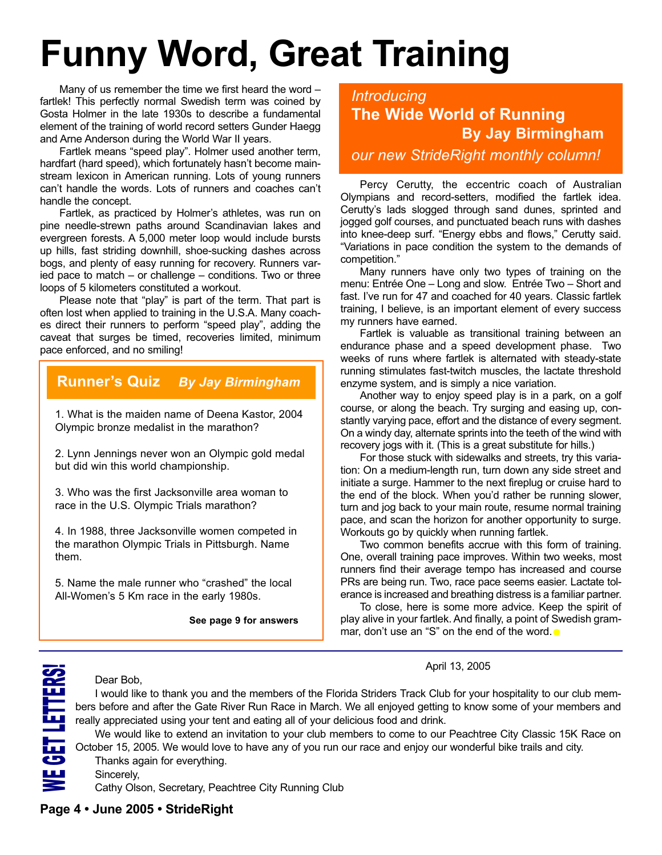# **Funny Word, Great Training**

Many of us remember the time we first heard the word – fartlek! This perfectly normal Swedish term was coined by Gosta Holmer in the late 1930s to describe a fundamental element of the training of world record setters Gunder Haegg and Arne Anderson during the World War II years.

Fartlek means "speed play". Holmer used another term, hardfart (hard speed), which fortunately hasn't become mainstream lexicon in American running. Lots of young runners can't handle the words. Lots of runners and coaches can't handle the concept.

Fartlek, as practiced by Holmer's athletes, was run on pine needle-strewn paths around Scandinavian lakes and evergreen forests. A 5,000 meter loop would include bursts up hills, fast striding downhill, shoe-sucking dashes across bogs, and plenty of easy running for recovery. Runners varied pace to match – or challenge – conditions. Two or three loops of 5 kilometers constituted a workout.

Please note that "play" is part of the term. That part is often lost when applied to training in the U.S.A. Many coaches direct their runners to perform "speed play", adding the caveat that surges be timed, recoveries limited, minimum pace enforced, and no smiling!

### **Runner's Quiz** *By Jay Birmingham*

1. What is the maiden name of Deena Kastor, 2004 Olympic bronze medalist in the marathon?

2. Lynn Jennings never won an Olympic gold medal but did win this world championship.

3. Who was the first Jacksonville area woman to race in the U.S. Olympic Trials marathon?

4. In 1988, three Jacksonville women competed in the marathon Olympic Trials in Pittsburgh. Name them.

5. Name the male runner who "crashed" the local All-Women's 5 Km race in the early 1980s.

**See page 9 for answers**

*Introducing* **The Wide World of Running By Jay Birmingham** *our new StrideRight monthly column!*

Percy Cerutty, the eccentric coach of Australian Olympians and record-setters, modified the fartlek idea. Cerutty's lads slogged through sand dunes, sprinted and jogged golf courses, and punctuated beach runs with dashes into knee-deep surf. "Energy ebbs and flows," Cerutty said. "Variations in pace condition the system to the demands of competition."

Many runners have only two types of training on the menu: Entrée One – Long and slow. Entrée Two – Short and fast. I've run for 47 and coached for 40 years. Classic fartlek training, I believe, is an important element of every success my runners have earned.

Fartlek is valuable as transitional training between an endurance phase and a speed development phase. Two weeks of runs where fartlek is alternated with steady-state running stimulates fast-twitch muscles, the lactate threshold enzyme system, and is simply a nice variation.

Another way to enjoy speed play is in a park, on a golf course, or along the beach. Try surging and easing up, constantly varying pace, effort and the distance of every segment. On a windy day, alternate sprints into the teeth of the wind with recovery jogs with it. (This is a great substitute for hills.)

For those stuck with sidewalks and streets, try this variation: On a medium-length run, turn down any side street and initiate a surge. Hammer to the next fireplug or cruise hard to the end of the block. When you'd rather be running slower, turn and jog back to your main route, resume normal training pace, and scan the horizon for another opportunity to surge. Workouts go by quickly when running fartlek.

Two common benefits accrue with this form of training. One, overall training pace improves. Within two weeks, most runners find their average tempo has increased and course PRs are being run. Two, race pace seems easier. Lactate tolerance is increased and breathing distress is a familiar partner.

To close, here is some more advice. Keep the spirit of play alive in your fartlek. And finally, a point of Swedish grammar, don't use an "S" on the end of the word. $\bullet$ 

#### April 13, 2005

Dear Bob,

I would like to thank you and the members of the Florida Striders Track Club for your hospitality to our club members before and after the Gate River Run Race in March. We all enjoyed getting to know some of your members and really appreciated using your tent and eating all of your delicious food and drink.

We would like to extend an invitation to your club members to come to our Peachtree City Classic 15K Race on October 15, 2005. We would love to have any of you run our race and enjoy our wonderful bike trails and city. Thanks again for everything.

Sincerely,

W

E $\mathbf G$ E  $\blacksquare$ L E T T E R S!

Cathy Olson, Secretary, Peachtree City Running Club

#### **Page 4 • June 2005 • StrideRight**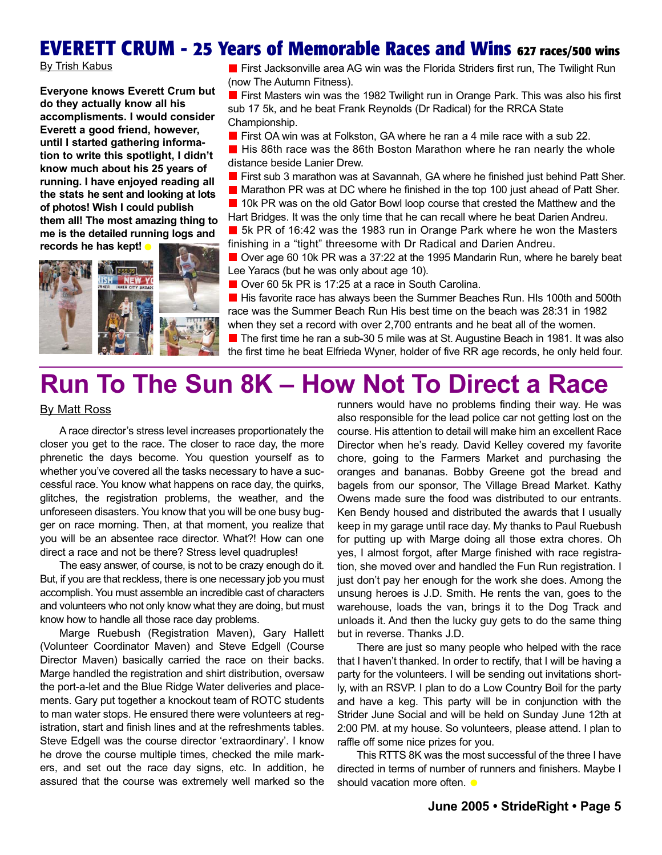### **EVERETT CRUM - 25 Years of Memorable Races and Wins 627 races/500 wins**

By Trish Kabus

**Everyone knows Everett Crum but do they actually know all his accomplisments. I would consider Everett a good friend, however, until I started gathering information to write this spotlight, I didn't know much about his 25 years of running. I have enjoyed reading all the stats he sent and looking at lots of photos! Wish I could publish them all! The most amazing thing to me is the detailed running logs and records he has kept!** •



**First Jacksonville area AG win was the Florida Striders first run. The Twilight Run** (now The Autumn Fitness).

**First Masters win was the 1982 Twilight run in Orange Park. This was also his first** sub 17 5k, and he beat Frank Reynolds (Dr Radical) for the RRCA State Championship.

**First OA win was at Folkston, GA where he ran a 4 mile race with a sub 22.** 

**H** His 86th race was the 86th Boston Marathon where he ran nearly the whole distance beside Lanier Drew.

**First sub 3 marathon was at Savannah, GA where he finished just behind Patt Sher. Marathon PR was at DC where he finished in the top 100 just ahead of Patt Sher.** 

**10k PR was on the old Gator Bowl loop course that crested the Matthew and the** Hart Bridges. It was the only time that he can recall where he beat Darien Andreu. **5k PR of 16:42 was the 1983 run in Orange Park where he won the Masters** 

finishing in a "tight" threesome with Dr Radical and Darien Andreu.

Over age 60 10k PR was a 37:22 at the 1995 Mandarin Run, where he barely beat Lee Yaracs (but he was only about age 10).

■ Over 60 5k PR is 17:25 at a race in South Carolina.

**H** His favorite race has always been the Summer Beaches Run. HIs 100th and 500th race was the Summer Beach Run His best time on the beach was 28:31 in 1982 when they set a record with over 2,700 entrants and he beat all of the women.

 $\blacksquare$  The first time he ran a sub-30 5 mile was at St. Augustine Beach in 1981. It was also the first time he beat Elfrieda Wyner, holder of five RR age records, he only held four.

## **Run To The Sun 8K – How Not To Direct a Race**

#### By Matt Ross

A race director's stress level increases proportionately the closer you get to the race. The closer to race day, the more phrenetic the days become. You question yourself as to whether you've covered all the tasks necessary to have a successful race. You know what happens on race day, the quirks, glitches, the registration problems, the weather, and the unforeseen disasters. You know that you will be one busy bugger on race morning. Then, at that moment, you realize that you will be an absentee race director. What?! How can one direct a race and not be there? Stress level quadruples!

The easy answer, of course, is not to be crazy enough do it. But, if you are that reckless, there is one necessary job you must accomplish. You must assemble an incredible cast of characters and volunteers who not only know what they are doing, but must know how to handle all those race day problems.

Marge Ruebush (Registration Maven), Gary Hallett (Volunteer Coordinator Maven) and Steve Edgell (Course Director Maven) basically carried the race on their backs. Marge handled the registration and shirt distribution, oversaw the port-a-let and the Blue Ridge Water deliveries and placements. Gary put together a knockout team of ROTC students to man water stops. He ensured there were volunteers at registration, start and finish lines and at the refreshments tables. Steve Edgell was the course director 'extraordinary'. I know he drove the course multiple times, checked the mile markers, and set out the race day signs, etc. In addition, he assured that the course was extremely well marked so the

runners would have no problems finding their way. He was also responsible for the lead police car not getting lost on the course. His attention to detail will make him an excellent Race Director when he's ready. David Kelley covered my favorite chore, going to the Farmers Market and purchasing the oranges and bananas. Bobby Greene got the bread and bagels from our sponsor, The Village Bread Market. Kathy Owens made sure the food was distributed to our entrants. Ken Bendy housed and distributed the awards that I usually keep in my garage until race day. My thanks to Paul Ruebush for putting up with Marge doing all those extra chores. Oh yes, I almost forgot, after Marge finished with race registration, she moved over and handled the Fun Run registration. I just don't pay her enough for the work she does. Among the unsung heroes is J.D. Smith. He rents the van, goes to the warehouse, loads the van, brings it to the Dog Track and unloads it. And then the lucky guy gets to do the same thing but in reverse. Thanks J.D.

There are just so many people who helped with the race that I haven't thanked. In order to rectify, that I will be having a party for the volunteers. I will be sending out invitations shortly, with an RSVP. I plan to do a Low Country Boil for the party and have a keg. This party will be in conjunction with the Strider June Social and will be held on Sunday June 12th at 2:00 PM. at my house. So volunteers, please attend. I plan to raffle off some nice prizes for you.

This RTTS 8K was the most successful of the three I have directed in terms of number of runners and finishers. Maybe I should vacation more often. •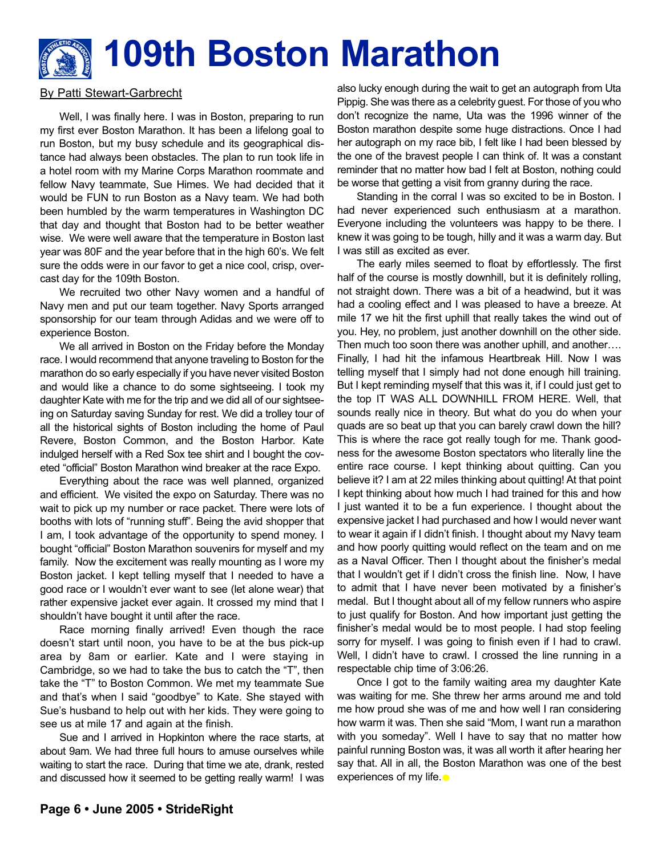# **109th Boston Marathon**

#### By Patti Stewart-Garbrecht

Well, I was finally here. I was in Boston, preparing to run my first ever Boston Marathon. It has been a lifelong goal to run Boston, but my busy schedule and its geographical distance had always been obstacles. The plan to run took life in a hotel room with my Marine Corps Marathon roommate and fellow Navy teammate, Sue Himes. We had decided that it would be FUN to run Boston as a Navy team. We had both been humbled by the warm temperatures in Washington DC that day and thought that Boston had to be better weather wise. We were well aware that the temperature in Boston last year was 80F and the year before that in the high 60's. We felt sure the odds were in our favor to get a nice cool, crisp, overcast day for the 109th Boston.

We recruited two other Navy women and a handful of Navy men and put our team together. Navy Sports arranged sponsorship for our team through Adidas and we were off to experience Boston.

We all arrived in Boston on the Friday before the Monday race. I would recommend that anyone traveling to Boston for the marathon do so early especially if you have never visited Boston and would like a chance to do some sightseeing. I took my daughter Kate with me for the trip and we did all of our sightseeing on Saturday saving Sunday for rest. We did a trolley tour of all the historical sights of Boston including the home of Paul Revere, Boston Common, and the Boston Harbor. Kate indulged herself with a Red Sox tee shirt and I bought the coveted "official" Boston Marathon wind breaker at the race Expo.

Everything about the race was well planned, organized and efficient. We visited the expo on Saturday. There was no wait to pick up my number or race packet. There were lots of booths with lots of "running stuff". Being the avid shopper that I am, I took advantage of the opportunity to spend money. I bought "official" Boston Marathon souvenirs for myself and my family. Now the excitement was really mounting as I wore my Boston jacket. I kept telling myself that I needed to have a good race or I wouldn't ever want to see (let alone wear) that rather expensive jacket ever again. It crossed my mind that I shouldn't have bought it until after the race.

Race morning finally arrived! Even though the race doesn't start until noon, you have to be at the bus pick-up area by 8am or earlier. Kate and I were staying in Cambridge, so we had to take the bus to catch the "T", then take the "T" to Boston Common. We met my teammate Sue and that's when I said "goodbye" to Kate. She stayed with Sue's husband to help out with her kids. They were going to see us at mile 17 and again at the finish.

Sue and I arrived in Hopkinton where the race starts, at about 9am. We had three full hours to amuse ourselves while waiting to start the race. During that time we ate, drank, rested and discussed how it seemed to be getting really warm! I was

also lucky enough during the wait to get an autograph from Uta Pippig. She was there as a celebrity guest. For those of you who don't recognize the name, Uta was the 1996 winner of the Boston marathon despite some huge distractions. Once I had her autograph on my race bib, I felt like I had been blessed by the one of the bravest people I can think of. It was a constant reminder that no matter how bad I felt at Boston, nothing could be worse that getting a visit from granny during the race.

Standing in the corral I was so excited to be in Boston. I had never experienced such enthusiasm at a marathon. Everyone including the volunteers was happy to be there. I knew it was going to be tough, hilly and it was a warm day. But I was still as excited as ever.

The early miles seemed to float by effortlessly. The first half of the course is mostly downhill, but it is definitely rolling, not straight down. There was a bit of a headwind, but it was had a cooling effect and I was pleased to have a breeze. At mile 17 we hit the first uphill that really takes the wind out of you. Hey, no problem, just another downhill on the other side. Then much too soon there was another uphill, and another…. Finally, I had hit the infamous Heartbreak Hill. Now I was telling myself that I simply had not done enough hill training. But I kept reminding myself that this was it, if I could just get to the top IT WAS ALL DOWNHILL FROM HERE. Well, that sounds really nice in theory. But what do you do when your quads are so beat up that you can barely crawl down the hill? This is where the race got really tough for me. Thank goodness for the awesome Boston spectators who literally line the entire race course. I kept thinking about quitting. Can you believe it? I am at 22 miles thinking about quitting! At that point I kept thinking about how much I had trained for this and how I just wanted it to be a fun experience. I thought about the expensive jacket I had purchased and how I would never want to wear it again if I didn't finish. I thought about my Navy team and how poorly quitting would reflect on the team and on me as a Naval Officer. Then I thought about the finisher's medal that I wouldn't get if I didn't cross the finish line. Now, I have to admit that I have never been motivated by a finisher's medal. But I thought about all of my fellow runners who aspire to just qualify for Boston. And how important just getting the finisher's medal would be to most people. I had stop feeling sorry for myself. I was going to finish even if I had to crawl. Well, I didn't have to crawl. I crossed the line running in a respectable chip time of 3:06:26.

Once I got to the family waiting area my daughter Kate was waiting for me. She threw her arms around me and told me how proud she was of me and how well I ran considering how warm it was. Then she said "Mom, I want run a marathon with you someday". Well I have to say that no matter how painful running Boston was, it was all worth it after hearing her say that. All in all, the Boston Marathon was one of the best experiences of my life. •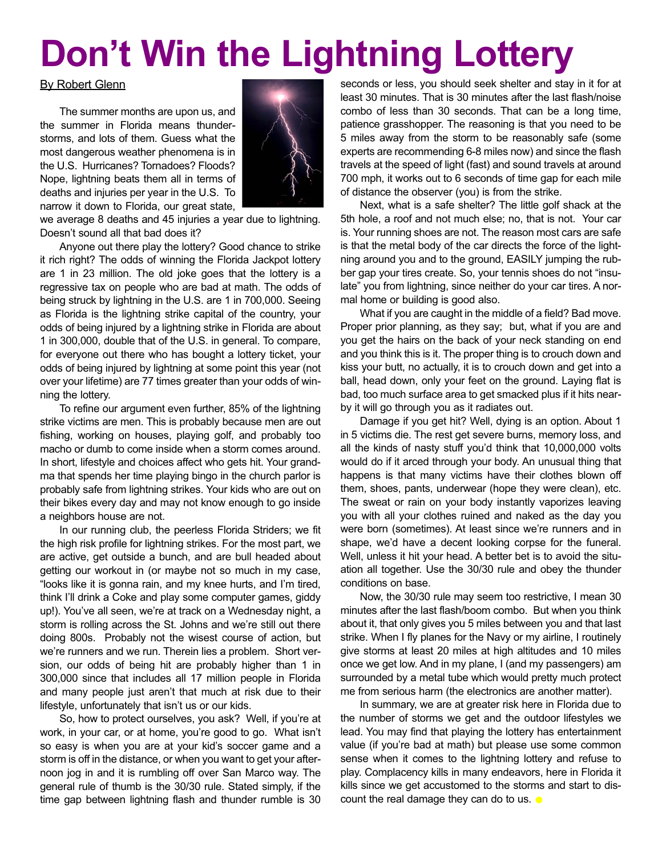# **Don't Win the Lightning Lottery**

#### By Robert Glenn

The summer months are upon us, and the summer in Florida means thunderstorms, and lots of them. Guess what the most dangerous weather phenomena is in the U.S. Hurricanes? Tornadoes? Floods? Nope, lightning beats them all in terms of deaths and injuries per year in the U.S. To narrow it down to Florida, our great state,



we average 8 deaths and 45 injuries a year due to lightning. Doesn't sound all that bad does it?

Anyone out there play the lottery? Good chance to strike it rich right? The odds of winning the Florida Jackpot lottery are 1 in 23 million. The old joke goes that the lottery is a regressive tax on people who are bad at math. The odds of being struck by lightning in the U.S. are 1 in 700,000. Seeing as Florida is the lightning strike capital of the country, your odds of being injured by a lightning strike in Florida are about 1 in 300,000, double that of the U.S. in general. To compare, for everyone out there who has bought a lottery ticket, your odds of being injured by lightning at some point this year (not over your lifetime) are 77 times greater than your odds of winning the lottery.

To refine our argument even further, 85% of the lightning strike victims are men. This is probably because men are out fishing, working on houses, playing golf, and probably too macho or dumb to come inside when a storm comes around. In short, lifestyle and choices affect who gets hit. Your grandma that spends her time playing bingo in the church parlor is probably safe from lightning strikes. Your kids who are out on their bikes every day and may not know enough to go inside a neighbors house are not.

In our running club, the peerless Florida Striders; we fit the high risk profile for lightning strikes. For the most part, we are active, get outside a bunch, and are bull headed about getting our workout in (or maybe not so much in my case, "looks like it is gonna rain, and my knee hurts, and I'm tired, think I'll drink a Coke and play some computer games, giddy up!). You've all seen, we're at track on a Wednesday night, a storm is rolling across the St. Johns and we're still out there doing 800s. Probably not the wisest course of action, but we're runners and we run. Therein lies a problem. Short version, our odds of being hit are probably higher than 1 in 300,000 since that includes all 17 million people in Florida and many people just aren't that much at risk due to their lifestyle, unfortunately that isn't us or our kids.

So, how to protect ourselves, you ask? Well, if you're at work, in your car, or at home, you're good to go. What isn't so easy is when you are at your kid's soccer game and a storm is off in the distance, or when you want to get your afternoon jog in and it is rumbling off over San Marco way. The general rule of thumb is the 30/30 rule. Stated simply, if the time gap between lightning flash and thunder rumble is 30

seconds or less, you should seek shelter and stay in it for at least 30 minutes. That is 30 minutes after the last flash/noise combo of less than 30 seconds. That can be a long time, patience grasshopper. The reasoning is that you need to be 5 miles away from the storm to be reasonably safe (some experts are recommending 6-8 miles now) and since the flash travels at the speed of light (fast) and sound travels at around 700 mph, it works out to 6 seconds of time gap for each mile of distance the observer (you) is from the strike.

Next, what is a safe shelter? The little golf shack at the 5th hole, a roof and not much else; no, that is not. Your car is. Your running shoes are not. The reason most cars are safe is that the metal body of the car directs the force of the lightning around you and to the ground, EASILY jumping the rubber gap your tires create. So, your tennis shoes do not "insulate" you from lightning, since neither do your car tires. A normal home or building is good also.

What if you are caught in the middle of a field? Bad move. Proper prior planning, as they say; but, what if you are and you get the hairs on the back of your neck standing on end and you think this is it. The proper thing is to crouch down and kiss your butt, no actually, it is to crouch down and get into a ball, head down, only your feet on the ground. Laying flat is bad, too much surface area to get smacked plus if it hits nearby it will go through you as it radiates out.

Damage if you get hit? Well, dying is an option. About 1 in 5 victims die. The rest get severe burns, memory loss, and all the kinds of nasty stuff you'd think that 10,000,000 volts would do if it arced through your body. An unusual thing that happens is that many victims have their clothes blown off them, shoes, pants, underwear (hope they were clean), etc. The sweat or rain on your body instantly vaporizes leaving you with all your clothes ruined and naked as the day you were born (sometimes). At least since we're runners and in shape, we'd have a decent looking corpse for the funeral. Well, unless it hit your head. A better bet is to avoid the situation all together. Use the 30/30 rule and obey the thunder conditions on base.

Now, the 30/30 rule may seem too restrictive, I mean 30 minutes after the last flash/boom combo. But when you think about it, that only gives you 5 miles between you and that last strike. When I fly planes for the Navy or my airline, I routinely give storms at least 20 miles at high altitudes and 10 miles once we get low. And in my plane, I (and my passengers) am surrounded by a metal tube which would pretty much protect me from serious harm (the electronics are another matter).

In summary, we are at greater risk here in Florida due to the number of storms we get and the outdoor lifestyles we lead. You may find that playing the lottery has entertainment value (if you're bad at math) but please use some common sense when it comes to the lightning lottery and refuse to play. Complacency kills in many endeavors, here in Florida it kills since we get accustomed to the storms and start to discount the real damage they can do to us.  $\bullet$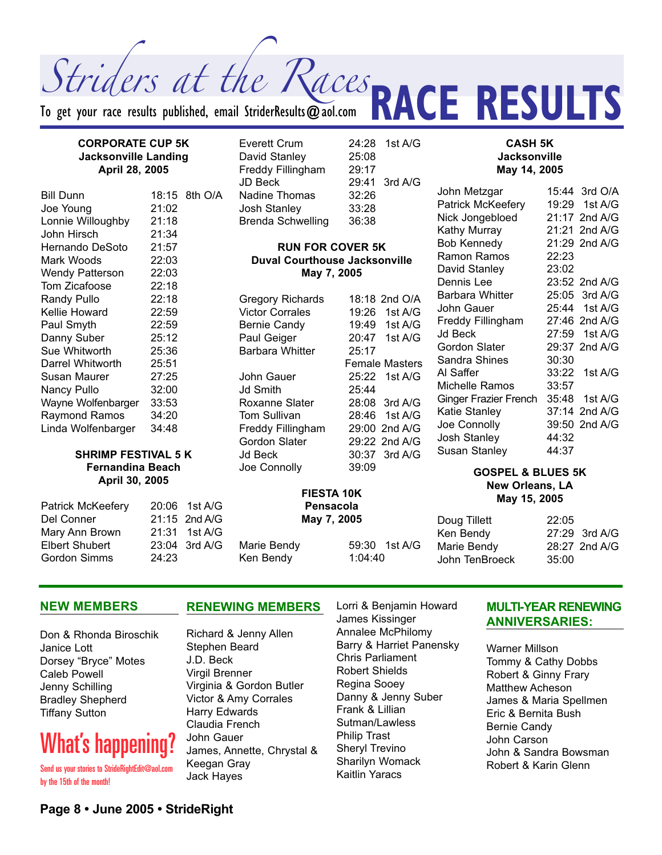Striders at the Races

To get your race results published, email StriderResults  $\bm{\varpi}$ aol.com

#### **CORPORATE CUP 5K** Everett Crum 24:28 1st A/G **Jacksonville Landing April 28, 2005**

| <b>Bill Dunn</b>   |       | 18:15 8th O/A |
|--------------------|-------|---------------|
| Joe Young          | 21:02 |               |
| Lonnie Willoughby  | 21:18 |               |
| John Hirsch        | 21:34 |               |
| Hernando DeSoto    | 21:57 |               |
| Mark Woods         | 22:03 |               |
| Wendy Patterson    | 22:03 |               |
| Tom Zicafoose      | 22:18 |               |
| <b>Randy Pullo</b> | 22:18 |               |
| Kellie Howard      | 22:59 |               |
| Paul Smyth         | 22:59 |               |
| Danny Suber        | 25:12 |               |
| Sue Whitworth      | 25:36 |               |
| Darrel Whitworth   | 25:51 |               |
| Susan Maurer       | 27:25 |               |
| Nancy Pullo        | 32:00 |               |
| Wayne Wolfenbarger | 33:53 |               |
| Raymond Ramos      | 34:20 |               |
| Linda Wolfenbarger | 34:48 |               |
|                    |       |               |

#### **SHRIMP FESTIVAL 5 K Fernandina Beach April 30, 2005**

| Patrick McKeefery     |       | 20:06 1st A/G |
|-----------------------|-------|---------------|
| Del Conner            |       | 21:15 2nd A/G |
| Mary Ann Brown        |       | 21:31 1st A/G |
| <b>Elbert Shubert</b> |       | 23:04 3rd A/G |
| <b>Gordon Simms</b>   | 24:23 |               |

David Stanley 25:08 Freddy Fillingham 29:17 JD Beck 29:41 3rd A/G Nadine Thomas 32:26 Josh Stanley 33:28 Brenda Schwelling 36:38

#### **RUN FOR COVER 5K Duval Courthouse Jacksonville May 7, 2005**

**FIESTA 10K**

Gregory Richards 18:18 2nd O/A Victor Corrales 19:26 1st A/G Bernie Candy 19:49 1st A/G Paul Geiger 20:47 1st A/G Barbara Whitter 25:17 John Gauer 25:22 1st A/G Jd Smith 25:44 Roxanne Slater 28:08 3rd A/G Tom Sullivan 28:46 1st A/G Freddy Fillingham 29:00 2nd A/G Gordon Slater 29:22 2nd A/G Jd Beck 30:37 3rd A/G Joe Connolly 39:09

Female Masters

**Jacksonville May 14, 2005** John Metzgar 15:44 3rd O/A Patrick McKeefery 19:29 1st A/G Nick Jongebloed 21:17 2nd A/G

**CASH 5K**

**RACE RESULTS** 

Kathy Murray 21:21 2nd A/G Bob Kennedy 21:29 2nd A/G Ramon Ramos 22:23 David Stanley 23:02 Dennis Lee 23:52 2nd A/G Barbara Whitter 25:05 3rd A/G John Gauer 25:44 1st A/G Freddy Fillingham 27:46 2nd A/G Jd Beck 27:59 1st A/G Gordon Slater 29:37 2nd A/G Sandra Shines 30:30 Al Saffer 33:22 1st A/G Michelle Ramos 33:57 Ginger Frazier French 35:48 1st A/G Katie Stanley 37:14 2nd A/G Joe Connolly 39:50 2nd A/G Josh Stanley 44:32 Susan Stanley 44:37

#### **GOSPEL & BLUES 5K New Orleans, LA May 15, 2005**

**Pensacola May 7, 2005** Marie Bendy 59:30 1st A/G Ken Bendy 1:04:40 Doug Tillett 22:05 Ken Bendy 27:29 3rd A/G Marie Bendy 28:27 2nd A/G John TenBroeck 35:00

#### **NEW MEMBERS**

Don & Rhonda Biroschik Janice Lott Dorsey "Bryce" Motes Caleb Powell Jenny Schilling Bradley Shepherd Tiffany Sutton

## What's happening

Send us your stories to StrideRightEdit@aol.com by the 15th of the month!

#### **RENEWING MEMBERS**

Richard & Jenny Allen Stephen Beard J.D. Beck Virgil Brenner Virginia & Gordon Butler Victor & Amy Corrales Harry Edwards Claudia French John Gauer James, Annette, Chrystal & Keegan Gray Jack Hayes

Lorri & Benjamin Howard James Kissinger Annalee McPhilomy Barry & Harriet Panensky Chris Parliament Robert Shields Regina Sooey Danny & Jenny Suber Frank & Lillian Sutman/Lawless Philip Trast Sheryl Trevino Sharilyn Womack Kaitlin Yaracs

#### **MULTI-YEAR RENEWING ANNIVERSARIES:**

Warner Millson Tommy & Cathy Dobbs Robert & Ginny Frary Matthew Acheson James & Maria Spellmen Eric & Bernita Bush Bernie Candy John Carson John & Sandra Bowsman Robert & Karin Glenn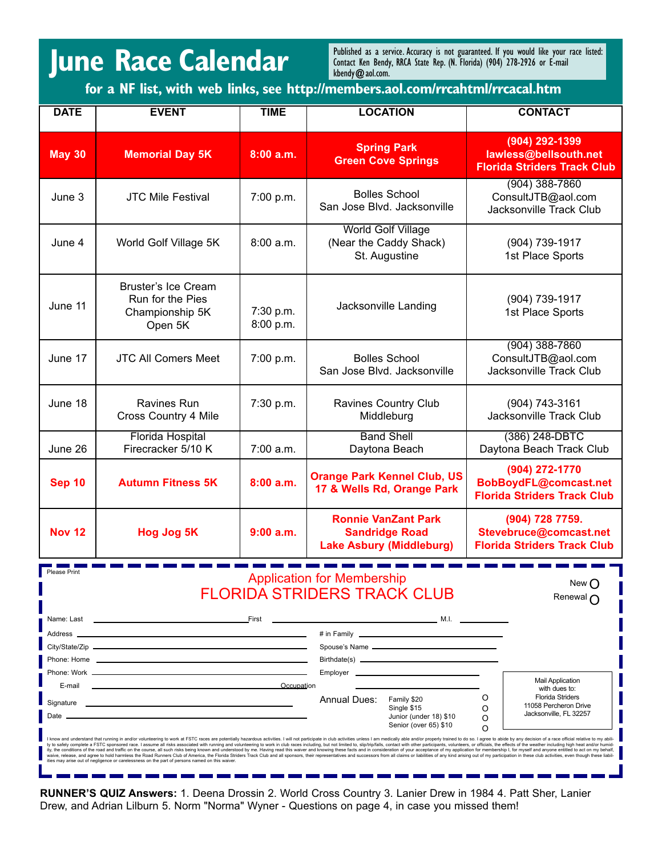## **June Race Calendar**

Published as a service. Accuracy is not guaranteed. If you would like your race listed: Contact Ken Bendy, RRCA State Rep. (N. Florida) (904) 278-2926 or E-mail kbendy@aol.com.

**for a NF list, with web links, see http://members.aol.com/rrcahtml/rrcacal.htm**

| <b>DATE</b>                                                                                                   | <b>EVENT</b>                                                                                                                                                                                                                         | <b>TIME</b>            | <b>LOCATION</b>                                                                                                                                                                                                                                                                                                                                                                                                                                                                                                                                                                                                                                                                                                                                                                                     | <b>CONTACT</b>                                                                                                                             |  |
|---------------------------------------------------------------------------------------------------------------|--------------------------------------------------------------------------------------------------------------------------------------------------------------------------------------------------------------------------------------|------------------------|-----------------------------------------------------------------------------------------------------------------------------------------------------------------------------------------------------------------------------------------------------------------------------------------------------------------------------------------------------------------------------------------------------------------------------------------------------------------------------------------------------------------------------------------------------------------------------------------------------------------------------------------------------------------------------------------------------------------------------------------------------------------------------------------------------|--------------------------------------------------------------------------------------------------------------------------------------------|--|
| <b>May 30</b>                                                                                                 | <b>Memorial Day 5K</b>                                                                                                                                                                                                               | 8:00a.m.               | <b>Spring Park</b><br><b>Green Cove Springs</b>                                                                                                                                                                                                                                                                                                                                                                                                                                                                                                                                                                                                                                                                                                                                                     | (904) 292-1399<br>lawless@bellsouth.net<br><b>Florida Striders Track Club</b>                                                              |  |
| June 3                                                                                                        | <b>JTC Mile Festival</b>                                                                                                                                                                                                             | 7:00 p.m.              | <b>Bolles School</b><br>San Jose Blvd. Jacksonville                                                                                                                                                                                                                                                                                                                                                                                                                                                                                                                                                                                                                                                                                                                                                 | $(904)$ 388-7860<br>ConsultJTB@aol.com<br>Jacksonville Track Club                                                                          |  |
| June 4                                                                                                        | World Golf Village 5K                                                                                                                                                                                                                | 8:00 a.m.              | <b>World Golf Village</b><br>(Near the Caddy Shack)<br>St. Augustine                                                                                                                                                                                                                                                                                                                                                                                                                                                                                                                                                                                                                                                                                                                                | (904) 739-1917<br>1st Place Sports                                                                                                         |  |
| June 11                                                                                                       | <b>Bruster's Ice Cream</b><br>Run for the Pies<br>Championship 5K<br>Open 5K                                                                                                                                                         | 7:30 p.m.<br>8:00 p.m. | Jacksonville Landing                                                                                                                                                                                                                                                                                                                                                                                                                                                                                                                                                                                                                                                                                                                                                                                | (904) 739-1917<br>1st Place Sports                                                                                                         |  |
| June 17                                                                                                       | <b>JTC All Comers Meet</b>                                                                                                                                                                                                           | 7:00 p.m.              | <b>Bolles School</b><br>San Jose Blvd. Jacksonville                                                                                                                                                                                                                                                                                                                                                                                                                                                                                                                                                                                                                                                                                                                                                 | $(904)$ 388-7860<br>ConsultJTB@aol.com<br>Jacksonville Track Club                                                                          |  |
| June 18                                                                                                       | <b>Ravines Run</b><br>Cross Country 4 Mile                                                                                                                                                                                           | 7:30 p.m.              | Ravines Country Club<br>Middleburg                                                                                                                                                                                                                                                                                                                                                                                                                                                                                                                                                                                                                                                                                                                                                                  | (904) 743-3161<br><b>Jacksonville Track Club</b>                                                                                           |  |
| June 26                                                                                                       | <b>Florida Hospital</b><br>Firecracker 5/10 K                                                                                                                                                                                        | 7:00 a.m.              | <b>Band Shell</b><br>Daytona Beach                                                                                                                                                                                                                                                                                                                                                                                                                                                                                                                                                                                                                                                                                                                                                                  | (386) 248-DBTC<br>Daytona Beach Track Club                                                                                                 |  |
| <b>Sep 10</b>                                                                                                 | <b>Autumn Fitness 5K</b>                                                                                                                                                                                                             | 8:00a.m.               | (904) 272-1770<br><b>Orange Park Kennel Club, US</b><br>BobBoydFL@comcast.net<br>17 & Wells Rd, Orange Park<br><b>Florida Striders Track Club</b>                                                                                                                                                                                                                                                                                                                                                                                                                                                                                                                                                                                                                                                   |                                                                                                                                            |  |
| <b>Nov 12</b>                                                                                                 | <b>Hog Jog 5K</b>                                                                                                                                                                                                                    | $9:00$ a.m.            | <b>Ronnie VanZant Park</b><br><b>Sandridge Road</b><br><b>Lake Asbury (Middleburg)</b>                                                                                                                                                                                                                                                                                                                                                                                                                                                                                                                                                                                                                                                                                                              | (904) 728 7759.<br>Stevebruce@comcast.net<br><b>Florida Striders Track Club</b>                                                            |  |
| Please Print<br><b>Application for Membership</b><br>New O<br><b>FLORIDA STRIDERS TRACK CLUB</b><br>Renewal ( |                                                                                                                                                                                                                                      |                        |                                                                                                                                                                                                                                                                                                                                                                                                                                                                                                                                                                                                                                                                                                                                                                                                     |                                                                                                                                            |  |
|                                                                                                               | Phone: Home <b>contract and contract and contract and contract and contract and contract and contract and contract and contract and contract and contract and contract and contract and contract and contract and contract and c</b> |                        |                                                                                                                                                                                                                                                                                                                                                                                                                                                                                                                                                                                                                                                                                                                                                                                                     |                                                                                                                                            |  |
| Date                                                                                                          | E-mail 2008 Cocupation                                                                                                                                                                                                               |                        | Annual Dues:<br>Family \$20<br>Single \$15<br>Junior (under 18) \$10<br>Senior (over 65) \$10<br>I know and understand that running in and/or volunteering to work at FSTC races are potentially hazardous activities. I will not participate in club activities unless I am medically able and/or properly trained to do so. I<br>ty to safely complete a FSTC sponsored race. I assume all risks associated with running and volunteering to work in club races including, but not limited to, slip/trip/falls, contact with other participants, volunteers, or<br>ity, the conditions of the road and traffic on the course, all such risks being known and understood by me. Having read this waiver and knowing these facts and in consideration of your acceptance of my application for memb | <b>Mail Application</b><br>with dues to:<br><b>Florida Striders</b><br>O<br>11058 Percheron Drive<br>O<br>Jacksonville, FL 32257<br>O<br>Ω |  |
|                                                                                                               | ities may arise out of negligence or carelessness on the part of persons named on this waiver.                                                                                                                                       |                        | waive, release, and agree to hold harmless the Road Runners Club of America, the Florida Striders Track Club and all sponsors, their representatives and successors from all claims or liabilities of any kind arising out of                                                                                                                                                                                                                                                                                                                                                                                                                                                                                                                                                                       |                                                                                                                                            |  |

**RUNNER'S QUIZ Answers:** 1. Deena Drossin 2. World Cross Country 3. Lanier Drew in 1984 4. Patt Sher, Lanier Drew, and Adrian Lilburn 5. Norm "Norma" Wyner - Questions on page 4, in case you missed them!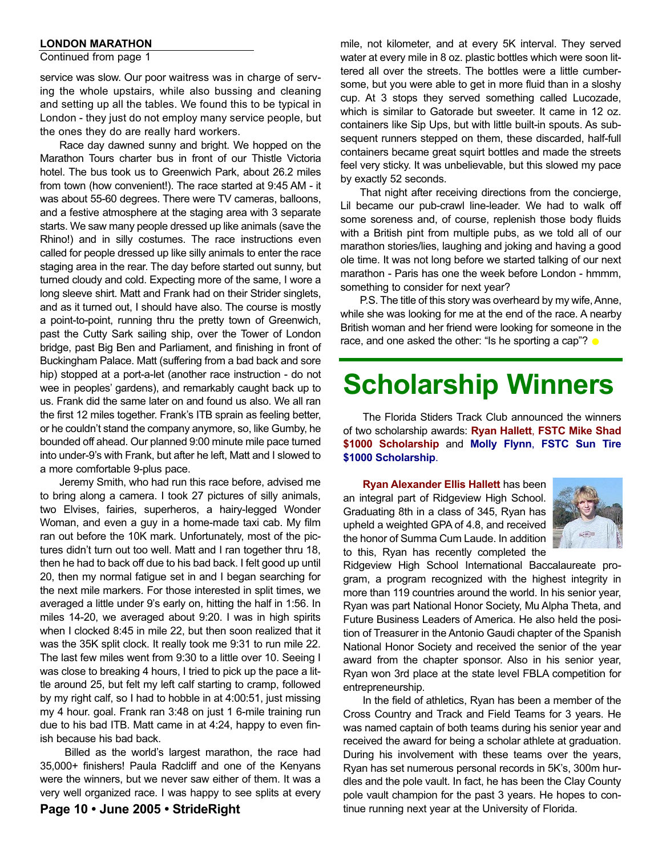#### **LONDON MARATHON**

#### Continued from page 1

service was slow. Our poor waitress was in charge of serving the whole upstairs, while also bussing and cleaning and setting up all the tables. We found this to be typical in London - they just do not employ many service people, but the ones they do are really hard workers.

Race day dawned sunny and bright. We hopped on the Marathon Tours charter bus in front of our Thistle Victoria hotel. The bus took us to Greenwich Park, about 26.2 miles from town (how convenient!). The race started at 9:45 AM - it was about 55-60 degrees. There were TV cameras, balloons, and a festive atmosphere at the staging area with 3 separate starts. We saw many people dressed up like animals (save the Rhino!) and in silly costumes. The race instructions even called for people dressed up like silly animals to enter the race staging area in the rear. The day before started out sunny, but turned cloudy and cold. Expecting more of the same, I wore a long sleeve shirt. Matt and Frank had on their Strider singlets, and as it turned out, I should have also. The course is mostly a point-to-point, running thru the pretty town of Greenwich, past the Cutty Sark sailing ship, over the Tower of London bridge, past Big Ben and Parliament, and finishing in front of Buckingham Palace. Matt (suffering from a bad back and sore hip) stopped at a port-a-let (another race instruction - do not wee in peoples' gardens), and remarkably caught back up to us. Frank did the same later on and found us also. We all ran the first 12 miles together. Frank's ITB sprain as feeling better, or he couldn't stand the company anymore, so, like Gumby, he bounded off ahead. Our planned 9:00 minute mile pace turned into under-9's with Frank, but after he left, Matt and I slowed to a more comfortable 9-plus pace.

Jeremy Smith, who had run this race before, advised me to bring along a camera. I took 27 pictures of silly animals, two Elvises, fairies, superheros, a hairy-legged Wonder Woman, and even a guy in a home-made taxi cab. My film ran out before the 10K mark. Unfortunately, most of the pictures didn't turn out too well. Matt and I ran together thru 18, then he had to back off due to his bad back. I felt good up until 20, then my normal fatigue set in and I began searching for the next mile markers. For those interested in split times, we averaged a little under 9's early on, hitting the half in 1:56. In miles 14-20, we averaged about 9:20. I was in high spirits when I clocked 8:45 in mile 22, but then soon realized that it was the 35K split clock. It really took me 9:31 to run mile 22. The last few miles went from 9:30 to a little over 10. Seeing I was close to breaking 4 hours, I tried to pick up the pace a little around 25, but felt my left calf starting to cramp, followed by my right calf, so I had to hobble in at 4:00:51, just missing my 4 hour. goal. Frank ran 3:48 on just 1 6-mile training run due to his bad ITB. Matt came in at 4:24, happy to even finish because his bad back.

Billed as the world's largest marathon, the race had 35,000+ finishers! Paula Radcliff and one of the Kenyans were the winners, but we never saw either of them. It was a very well organized race. I was happy to see splits at every

mile, not kilometer, and at every 5K interval. They served water at every mile in 8 oz. plastic bottles which were soon littered all over the streets. The bottles were a little cumbersome, but you were able to get in more fluid than in a sloshy cup. At 3 stops they served something called Lucozade, which is similar to Gatorade but sweeter. It came in 12 oz. containers like Sip Ups, but with little built-in spouts. As subsequent runners stepped on them, these discarded, half-full containers became great squirt bottles and made the streets feel very sticky. It was unbelievable, but this slowed my pace by exactly 52 seconds.

That night after receiving directions from the concierge, Lil became our pub-crawl line-leader. We had to walk off some soreness and, of course, replenish those body fluids with a British pint from multiple pubs, as we told all of our marathon stories/lies, laughing and joking and having a good ole time. It was not long before we started talking of our next marathon - Paris has one the week before London - hmmm, something to consider for next year?

P.S. The title of this story was overheard by my wife, Anne, while she was looking for me at the end of the race. A nearby British woman and her friend were looking for someone in the race, and one asked the other: "Is he sporting a cap"?  $\bullet$ 

## **Scholarship Winners**

The Florida Stiders Track Club announced the winners of two scholarship awards: **Ryan Hallett**, **FSTC Mike Shad \$1000 Scholarship** and **Molly Flynn**, **FSTC Sun Tire \$1000 Scholarship**.

**Ryan Alexander Ellis Hallett** has been an integral part of Ridgeview High School. Graduating 8th in a class of 345, Ryan has upheld a weighted GPA of 4.8, and received the honor of Summa Cum Laude. In addition to this, Ryan has recently completed the



Ridgeview High School International Baccalaureate program, a program recognized with the highest integrity in more than 119 countries around the world. In his senior year, Ryan was part National Honor Society, Mu Alpha Theta, and Future Business Leaders of America. He also held the position of Treasurer in the Antonio Gaudi chapter of the Spanish National Honor Society and received the senior of the year award from the chapter sponsor. Also in his senior year, Ryan won 3rd place at the state level FBLA competition for entrepreneurship.

In the field of athletics, Ryan has been a member of the Cross Country and Track and Field Teams for 3 years. He was named captain of both teams during his senior year and received the award for being a scholar athlete at graduation. During his involvement with these teams over the years, Ryan has set numerous personal records in 5K's, 300m hurdles and the pole vault. In fact, he has been the Clay County pole vault champion for the past 3 years. He hopes to continue running next year at the University of Florida.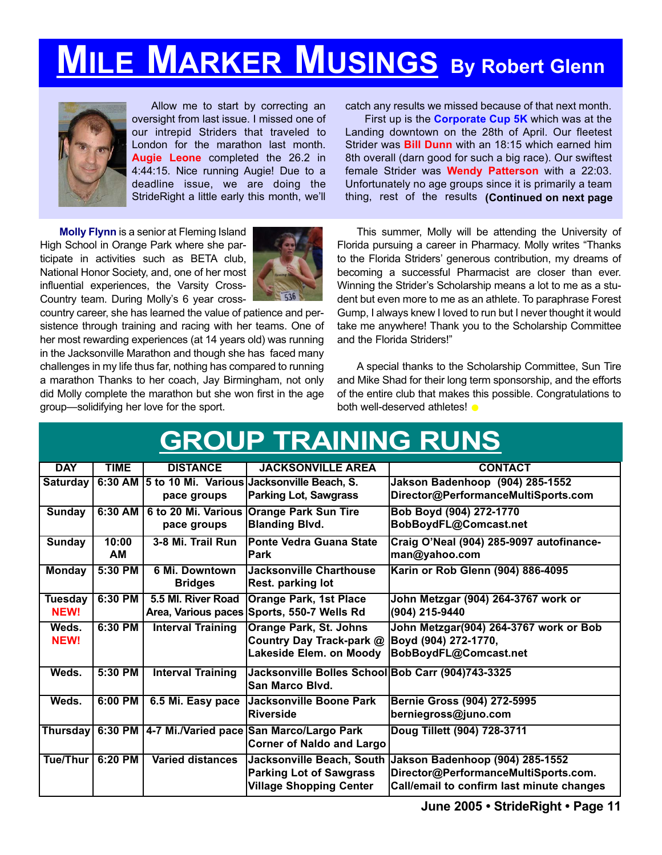# **MILE MARKER MUSINGS By Robert Glenn**



Allow me to start by correcting an oversight from last issue. I missed one of our intrepid Striders that traveled to London for the marathon last month. **Augie Leone** completed the 26.2 in 4:44:15. Nice running Augie! Due to a deadline issue, we are doing the StrideRight a little early this month, we'll

**Molly Flynn** is a senior at Fleming Island High School in Orange Park where she participate in activities such as BETA club, National Honor Society, and, one of her most influential experiences, the Varsity Cross-Country team. During Molly's 6 year cross-



country career, she has learned the value of patience and persistence through training and racing with her teams. One of her most rewarding experiences (at 14 years old) was running in the Jacksonville Marathon and though she has faced many challenges in my life thus far, nothing has compared to running a marathon Thanks to her coach, Jay Birmingham, not only did Molly complete the marathon but she won first in the age group—solidifying her love for the sport.

catch any results we missed because of that next month.

First up is the **Corporate Cup 5K** which was at the Landing downtown on the 28th of April. Our fleetest Strider was **Bill Dunn** with an 18:15 which earned him 8th overall (darn good for such a big race). Our swiftest female Strider was **Wendy Patterson** with a 22:03. Unfortunately no age groups since it is primarily a team thing, rest of the results **(Continued on next page**

This summer, Molly will be attending the University of Florida pursuing a career in Pharmacy. Molly writes "Thanks to the Florida Striders' generous contribution, my dreams of becoming a successful Pharmacist are closer than ever. Winning the Strider's Scholarship means a lot to me as a student but even more to me as an athlete. To paraphrase Forest Gump, I always knew I loved to run but I never thought it would take me anywhere! Thank you to the Scholarship Committee and the Florida Striders!"

A special thanks to the Scholarship Committee, Sun Tire and Mike Shad for their long term sponsorship, and the efforts of the entire club that makes this possible. Congratulations to both well-deserved athletes!

|                 |             |                          | <b>GROUP TRAINING RUNS</b>                         |                                                           |
|-----------------|-------------|--------------------------|----------------------------------------------------|-----------------------------------------------------------|
| <b>DAY</b>      | <b>TIME</b> | <b>DISTANCE</b>          | <b>JACKSONVILLE AREA</b>                           | <b>CONTACT</b>                                            |
| Saturdav        |             |                          | 6:30 AM 5 to 10 Mi. Various Jacksonville Beach, S. | Jakson Badenhoop (904) 285-1552                           |
|                 |             | pace groups              | <b>Parking Lot, Sawgrass</b>                       | Director@PerformanceMultiSports.com                       |
| <b>Sunday</b>   | 6:30 AM     |                          | 6 to 20 Mi. Various Orange Park Sun Tire           | Bob Boyd (904) 272-1770                                   |
|                 |             | pace groups              | <b>Blanding Blvd.</b>                              | BobBoydFL@Comcast.net                                     |
| <b>Sunday</b>   | 10:00       | 3-8 Mi. Trail Run        | <b>Ponte Vedra Guana State</b>                     | Craig O'Neal (904) 285-9097 autofinance-                  |
|                 | <b>AM</b>   |                          | Park                                               | man@yahoo.com                                             |
| <b>Monday</b>   | 5:30 PM     | 6 Mi. Downtown           | Jacksonville Charthouse                            | Karin or Rob Glenn (904) 886-4095                         |
|                 |             | <b>Bridges</b>           | Rest. parking lot                                  |                                                           |
| <b>Tuesday</b>  | 6:30 PM     | 5.5 MI. River Road       | <b>Orange Park, 1st Place</b>                      | John Metzgar (904) 264-3767 work or                       |
| <b>NEW!</b>     |             | Area, Various paces      | Sports, 550-7 Wells Rd                             | (904) 215-9440                                            |
| Weds.           | 6:30 PM     | <b>Interval Training</b> | <b>Orange Park, St. Johns</b>                      | John Metzgar(904) 264-3767 work or Bob                    |
| <b>NEW!</b>     |             |                          | Country Day Track-park @                           | Boyd (904) 272-1770,                                      |
|                 |             |                          | Lakeside Elem. on Moody                            | BobBoydFL@Comcast.net                                     |
| Weds.           | 5:30 PM     | <b>Interval Training</b> | Jacksonville Bolles School Bob Carr (904)743-3325  |                                                           |
|                 |             |                          | San Marco Blvd.                                    |                                                           |
| Weds.           | 6:00 PM     | 6.5 Mi. Easy pace        | <b>Jacksonville Boone Park</b>                     | <b>Bernie Gross (904) 272-5995</b>                        |
|                 |             |                          | <b>Riverside</b>                                   | berniegross@juno.com                                      |
| <b>Thursday</b> |             |                          | 6:30 PM 4-7 Mi./Varied pace San Marco/Largo Park   | Doug Tillett (904) 728-3711                               |
|                 |             |                          | <b>Corner of Naldo and Largo</b>                   |                                                           |
| Tue/Thur        | $6:20$ PM   | <b>Varied distances</b>  |                                                    | Jacksonville Beach, South Jakson Badenhoop (904) 285-1552 |
|                 |             |                          | <b>Parking Lot of Sawgrass</b>                     | Director@PerformanceMultiSports.com.                      |
|                 |             |                          | <b>Village Shopping Center</b>                     | Call/email to confirm last minute changes                 |